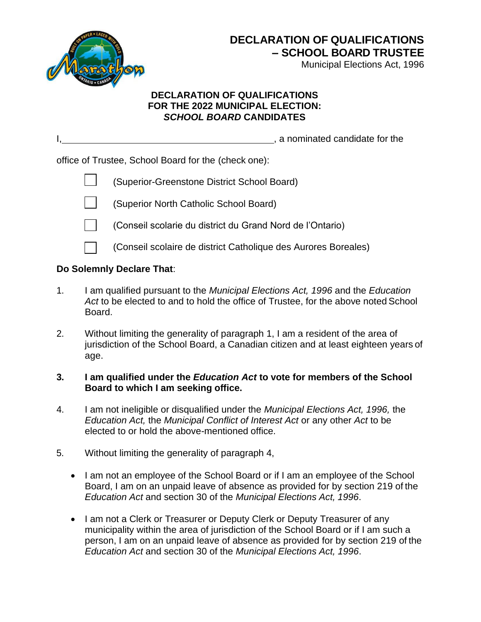

Municipal Elections Act, 1996

## **DECLARATION OF QUALIFICATIONS FOR THE 2022 MUNICIPAL ELECTION:**  *SCHOOL BOARD* **CANDIDATES**

|                                                      | , a nominated candidate for the |
|------------------------------------------------------|---------------------------------|
| office of Trustee, School Board for the (check one): |                                 |
| (Superior-Greenstone District School Board)          |                                 |

- $\Box$ (Superior North Catholic School Board)
- 

(Conseil scolarie du district du Grand Nord de l'Ontario)

(Conseil scolaire de district Catholique des Aurores Boreales)

## **Do Solemnly Declare That**:

- 1. I am qualified pursuant to the *Municipal Elections Act, 1996* and the *Education Act* to be elected to and to hold the office of Trustee, for the above noted School Board.
- 2. Without limiting the generality of paragraph 1, I am a resident of the area of jurisdiction of the School Board, a Canadian citizen and at least eighteen years of age.

## **3. I am qualified under the** *Education Act* **to vote for members of the School Board to which I am seeking office.**

- 4. I am not ineligible or disqualified under the *Municipal Elections Act, 1996,* the *Education Act,* the *Municipal Conflict of Interest Act* or any other *Act* to be elected to or hold the above-mentioned office.
- 5. Without limiting the generality of paragraph 4,
	- I am not an employee of the School Board or if I am an employee of the School Board, I am on an unpaid leave of absence as provided for by section 219 of the *Education Act* and section 30 of the *Municipal Elections Act, 1996*.
	- I am not a Clerk or Treasurer or Deputy Clerk or Deputy Treasurer of any municipality within the area of jurisdiction of the School Board or if I am such a person, I am on an unpaid leave of absence as provided for by section 219 of the *Education Act* and section 30 of the *Municipal Elections Act, 1996*.